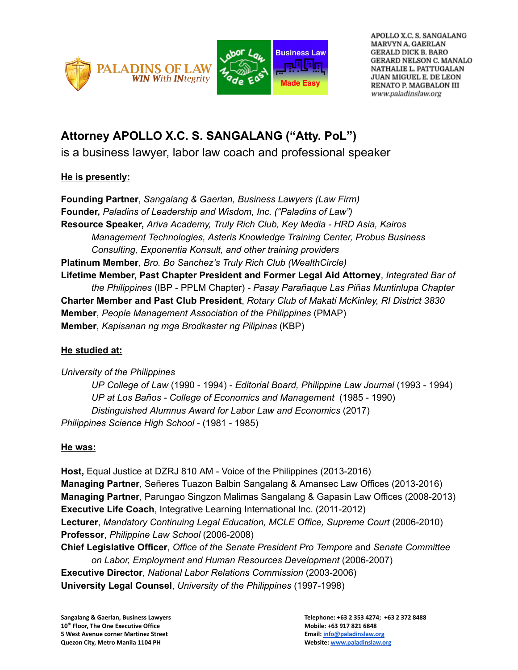



APOLLO X.C. S. SANGALANG MARVYN A. GAERLAN **GERALD DICK B. BARO** GERARD NELSON C. MANALO NATHALIE L. PATTUGALAN **JUAN MIGUEL E. DE LEON** RENATO P. MAGBALON III www.paladinslaw.org

## **Attorney APOLLO X.C. S. SANGALANG ("Atty. PoL")**

is a business lawyer, labor law coach and professional speaker

## **He is presently:**

**Founding Partner**, *Sangalang & Gaerlan, Business Lawyers (Law Firm)* **Founder,** *Paladins of Leadership and Wisdom, Inc. ("Paladins of Law")* **Resource Speaker,** *Ariva Academy, Truly Rich Club, Key Media HRD Asia, Kairos Management Technologies, Asteris Knowledge Training Center, Probus Business Consulting, Exponentia Konsult, and other training providers* **Platinum Member***, Bro. Bo Sanchez's Truly Rich Club (WealthCircle)* **Lifetime Member, Past Chapter President and Former Legal Aid Attorney**, *Integrated Bar of the Philippines* (IBP PPLM Chapter) *Pasay Parañaque Las Piñas Muntinlupa Chapter* **Charter Member and Past Club President**, *Rotary Club of Makati McKinley, RI District 3830* **Member**, *People Management Association of the Philippines* (PMAP) **Member**, *Kapisanan ng mga Brodkaster ng Pilipinas* (KBP)

## **He studied at:**

*University of the Philippines UP College of Law* (1990 1994) *Editorial Board, Philippine Law Journal* (1993 1994) *UP at Los Baños College of Economics and Management* (1985 1990) *Distinguished Alumnus Award for Labor Law and Economics* (2017) *Philippines Science High School* (1981 1985)

## **He was:**

**Host,** Equal Justice at DZRJ 810 AM - Voice of the Philippines (2013-2016) **Managing Partner**, Señeres Tuazon Balbin Sangalang & Amansec Law Offices (2013-2016) **Managing Partner**, Parungao Singzon Malimas Sangalang & Gapasin Law Offices (2008-2013) **Executive Life Coach, Integrative Learning International Inc. (2011-2012) Lecturer**, *Mandatory Continuing Legal Education, MCLE Office, Supreme Court* (20062010) **Professor**, *Philippine Law School* (2006-2008) **Chief Legislative Officer**, *Office of the Senate President Pro Tempore* and *Senate Committee on Labor, Employment and Human Resources Development* (20062007) **Executive Director**, *National Labor Relations Commission* (2003-2006)

**University Legal Counsel**, *University of the Philippines* (1997-1998)